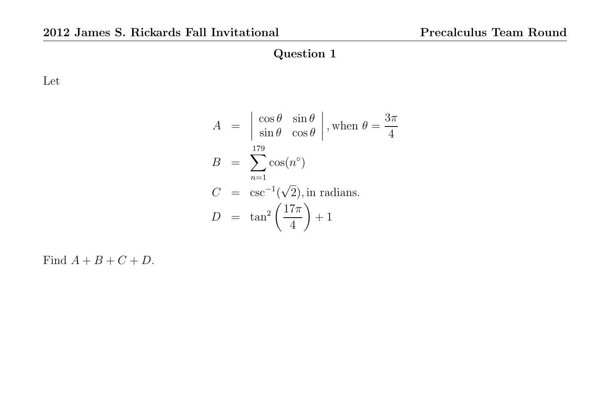Let

$$
A = \begin{vmatrix} \cos \theta & \sin \theta \\ \sin \theta & \cos \theta \end{vmatrix}
$$
, when  $\theta = \frac{3\pi}{4}$   
\n
$$
B = \sum_{n=1}^{179} \cos(n^{\circ})
$$
  
\n
$$
C = \csc^{-1}(\sqrt{2}), \text{ in radians.}
$$
  
\n
$$
D = \tan^{2}(\frac{17\pi}{4}) + 1
$$

Find  $A + B + C + D$ .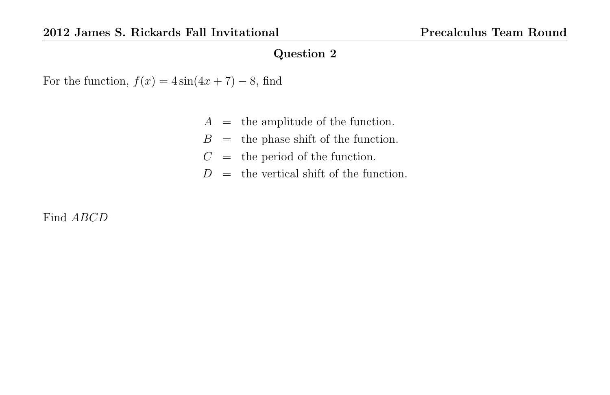For the function,  $f(x) = 4 \sin(4x + 7) - 8$ , find

- $A =$  the amplitude of the function.
- $B =$  the phase shift of the function.
- $C =$  the period of the function.
- $D =$  the vertical shift of the function.

Find ABCD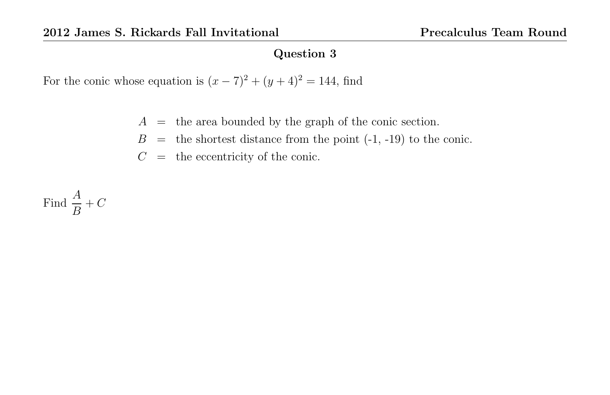For the conic whose equation is  $(x - 7)^2 + (y + 4)^2 = 144$ , find

- $A =$  the area bounded by the graph of the conic section.
- $B =$  the shortest distance from the point  $(-1, -19)$  to the conic.
- $C =$  the eccentricity of the conic.

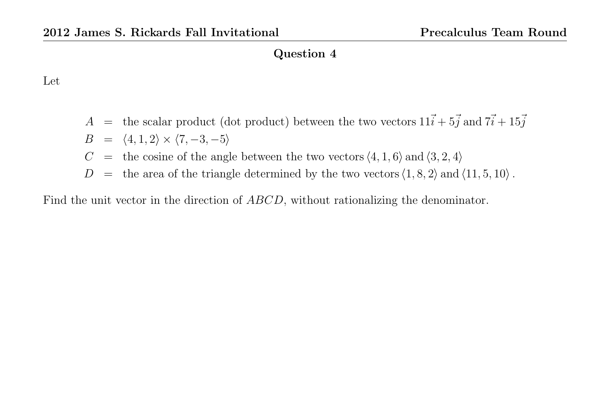#### Let

- A = the scalar product (dot product) between the two vectors  $11\vec{i} + 5\vec{j}$  and  $7\vec{i} + 15\vec{j}$  $B = \langle 4, 1, 2 \rangle \times \langle 7, -3, -5 \rangle$
- $C =$  the cosine of the angle between the two vectors  $\langle 4, 1, 6 \rangle$  and  $\langle 3, 2, 4 \rangle$
- $D =$  the area of the triangle determined by the two vectors  $\langle 1, 8, 2 \rangle$  and  $\langle 11, 5, 10 \rangle$ .

Find the unit vector in the direction of ABCD, without rationalizing the denominator.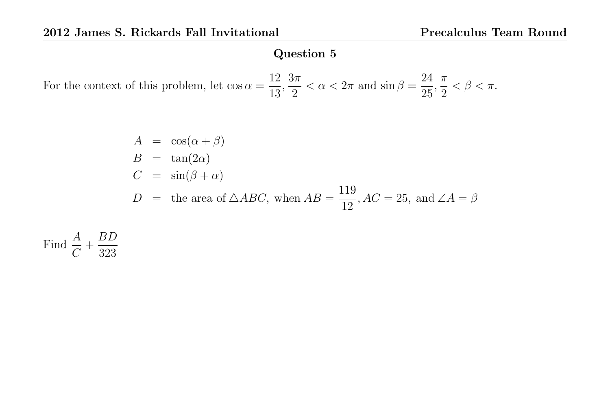For the context of this problem, let  $\cos \alpha =$ 12 13 ,  $3\pi$ 2  $< \alpha < 2\pi$  and  $\sin \beta =$ 24 25 , π 2  $< \beta < \pi$ .

$$
A = \cos(\alpha + \beta)
$$
  
\n
$$
B = \tan(2\alpha)
$$
  
\n
$$
C = \sin(\beta + \alpha)
$$
  
\n
$$
D = \text{the area of } \triangle ABC, \text{ when } AB = \frac{119}{12}, AC = 25, \text{ and } \angle A = \beta
$$

Find  $\frac{A}{\sigma}$  $\mathcal{C}_{0}^{(n)}$  $+$ BD 323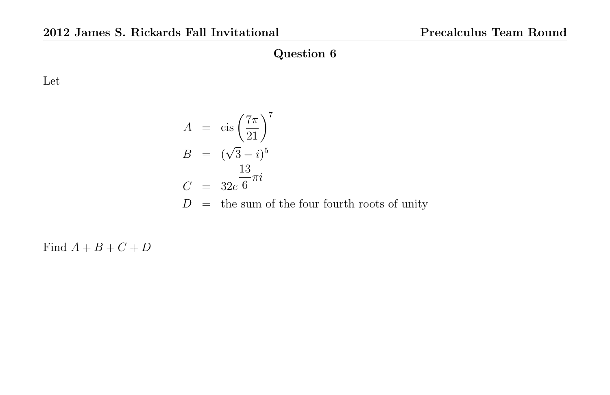Let

$$
A = \operatorname{cis}\left(\frac{7\pi}{21}\right)^7
$$
  
\n
$$
B = (\sqrt{3} - i)^5
$$
  
\n
$$
C = 32e^{\frac{13}{6}\pi i}
$$
  
\n
$$
D = \text{the sum of the four fourth roots of unity}
$$

Find  $A + B + C + D$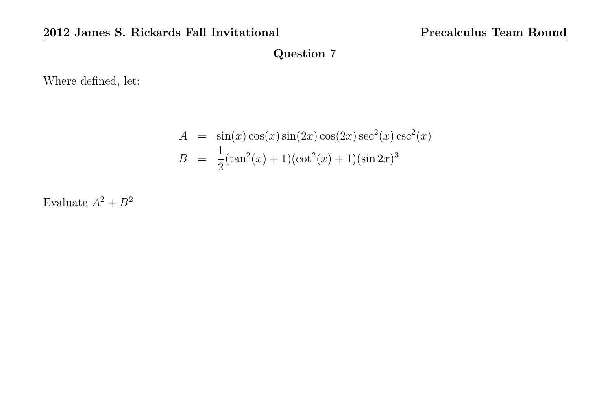Where defined, let:

$$
A = \sin(x)\cos(x)\sin(2x)\cos(2x)\sec^{2}(x)\csc^{2}(x)
$$

$$
B = \frac{1}{2}(\tan^{2}(x) + 1)(\cot^{2}(x) + 1)(\sin 2x)^{3}
$$

Evaluate  $A^2 + B^2$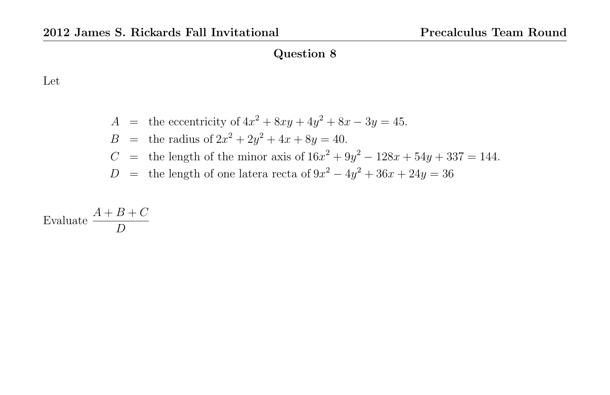### Let

$$
A = \text{the eccentricity of } 4x^2 + 8xy + 4y^2 + 8x - 3y = 45.
$$
  
\n
$$
B = \text{the radius of } 2x^2 + 2y^2 + 4x + 8y = 40.
$$
  
\n
$$
C = \text{the length of the minor axis of } 16x^2 + 9y^2 - 128x + 54y + 337 = 144.
$$
  
\n
$$
D = \text{the length of one latera recta of } 9x^2 - 4y^2 + 36x + 24y = 36
$$

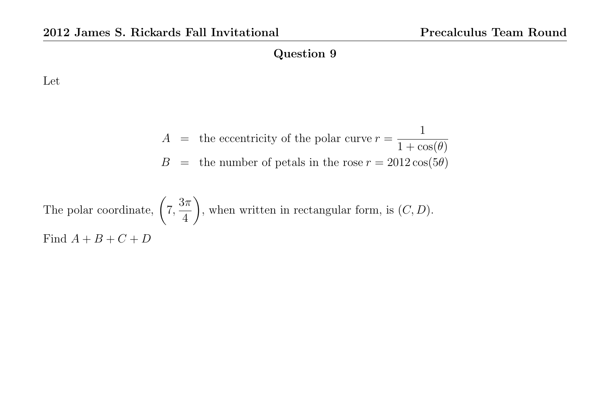Let

$$
A =
$$
 the eccentricity of the polar curve  $r = \frac{1}{1 + \cos(\theta)}$   

$$
B =
$$
 the number of petals in the rose  $r = 2012 \cos(5\theta)$ 

The polar coordinate,  $\Big(7, \Big)$  $3\pi$ 4  $\setminus$ , when written in rectangular form, is  $(C, D)$ . Find  $A + B + C + D$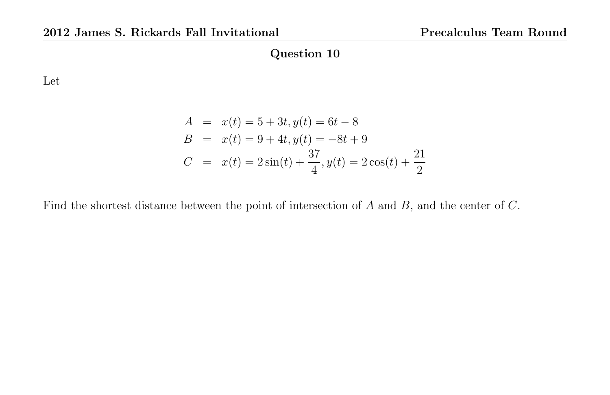Let

$$
A = x(t) = 5 + 3t, y(t) = 6t - 8
$$
  
\n
$$
B = x(t) = 9 + 4t, y(t) = -8t + 9
$$
  
\n
$$
C = x(t) = 2\sin(t) + \frac{37}{4}, y(t) = 2\cos(t) + \frac{21}{2}
$$

Find the shortest distance between the point of intersection of A and B, and the center of C.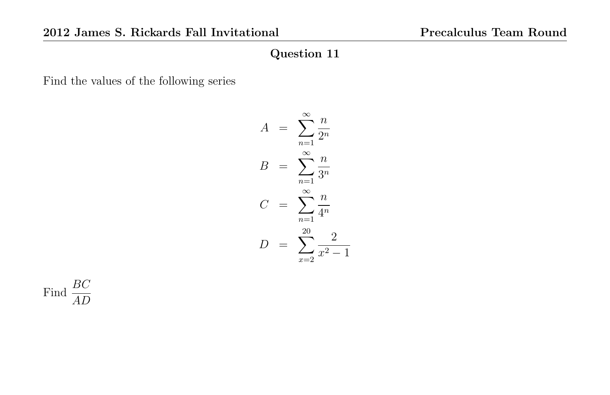Find the values of the following series

$$
A = \sum_{n=1}^{\infty} \frac{n}{2^n}
$$

$$
B = \sum_{n=1}^{\infty} \frac{n}{3^n}
$$

$$
C = \sum_{n=1}^{\infty} \frac{n}{4^n}
$$

$$
D = \sum_{x=2}^{20} \frac{2}{x^2 - 1}
$$

Find  $\frac{BC}{AD}$ AD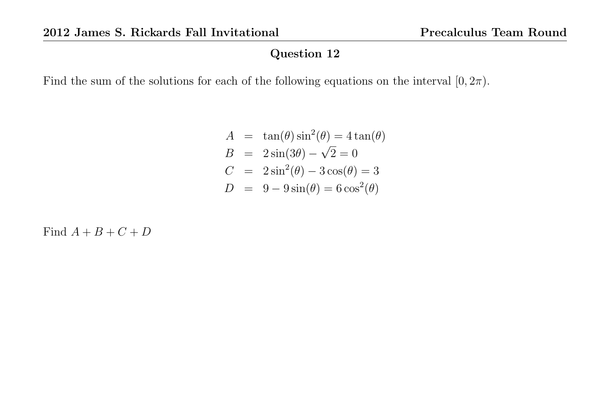Find the sum of the solutions for each of the following equations on the interval  $[0, 2\pi)$ .

$$
A = \tan(\theta)\sin^2(\theta) = 4\tan(\theta)
$$
  
\n
$$
B = 2\sin(3\theta) - \sqrt{2} = 0
$$
  
\n
$$
C = 2\sin^2(\theta) - 3\cos(\theta) = 3
$$
  
\n
$$
D = 9 - 9\sin(\theta) = 6\cos^2(\theta)
$$

Find  $A + B + C + D$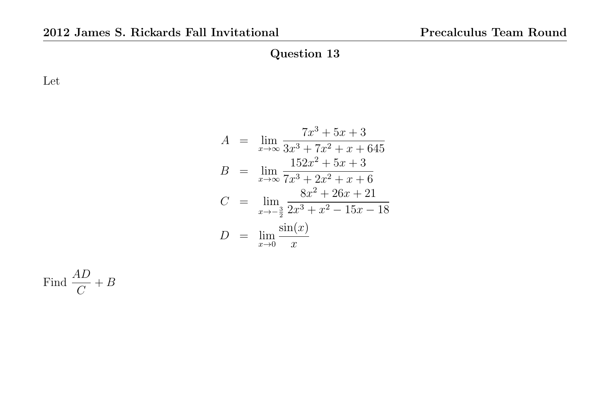Let

$$
A = \lim_{x \to \infty} \frac{7x^3 + 5x + 3}{3x^3 + 7x^2 + x + 645}
$$
  
\n
$$
B = \lim_{x \to \infty} \frac{152x^2 + 5x + 3}{7x^3 + 2x^2 + x + 6}
$$
  
\n
$$
C = \lim_{x \to -\frac{3}{2}} \frac{8x^2 + 26x + 21}{2x^3 + x^2 - 15x - 18}
$$
  
\n
$$
D = \lim_{x \to 0} \frac{\sin(x)}{x}
$$

Find  $\frac{AD}{C}$  $\mathcal{C}_{0}^{(n)}$  $+ B$